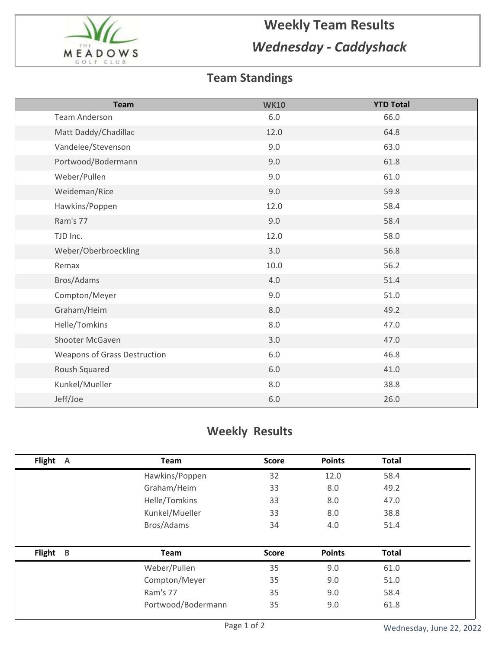

## **Weekly Team Results** *Wednesday - Caddyshack*

## **Team Standings**

| <b>Team</b>                         | <b>WK10</b> | <b>YTD Total</b> |
|-------------------------------------|-------------|------------------|
| <b>Team Anderson</b>                | 6.0         | 66.0             |
| Matt Daddy/Chadillac                | 12.0        | 64.8             |
| Vandelee/Stevenson                  | 9.0         | 63.0             |
| Portwood/Bodermann                  | 9.0         | 61.8             |
| Weber/Pullen                        | 9.0         | 61.0             |
| Weideman/Rice                       | 9.0         | 59.8             |
| Hawkins/Poppen                      | 12.0        | 58.4             |
| Ram's 77                            | 9.0         | 58.4             |
| TJD Inc.                            | 12.0        | 58.0             |
| Weber/Oberbroeckling                | 3.0         | 56.8             |
| Remax                               | $10.0\,$    | 56.2             |
| Bros/Adams                          | 4.0         | 51.4             |
| Compton/Meyer                       | 9.0         | 51.0             |
| Graham/Heim                         | 8.0         | 49.2             |
| Helle/Tomkins                       | 8.0         | 47.0             |
| Shooter McGaven                     | 3.0         | 47.0             |
| <b>Weapons of Grass Destruction</b> | 6.0         | 46.8             |
| Roush Squared                       | $6.0\,$     | 41.0             |
| Kunkel/Mueller                      | 8.0         | 38.8             |
| Jeff/Joe                            | $6.0\,$     | 26.0             |

## **Weekly Results**

| Flight<br>$\mathsf{A}$ | Team               | <b>Score</b> | <b>Points</b> | <b>Total</b> |  |
|------------------------|--------------------|--------------|---------------|--------------|--|
|                        | Hawkins/Poppen     | 32           | 12.0          | 58.4         |  |
|                        | Graham/Heim        | 33           | 8.0           | 49.2         |  |
|                        | Helle/Tomkins      | 33           | 8.0           | 47.0         |  |
|                        | Kunkel/Mueller     | 33           | 8.0           | 38.8         |  |
|                        | Bros/Adams         | 34           | 4.0           | 51.4         |  |
|                        |                    |              |               |              |  |
| <b>Flight</b><br>B     | <b>Team</b>        | <b>Score</b> | <b>Points</b> | <b>Total</b> |  |
|                        | Weber/Pullen       | 35           | 9.0           | 61.0         |  |
|                        | Compton/Meyer      | 35           | 9.0           | 51.0         |  |
|                        | Ram's 77           | 35           | 9.0           | 58.4         |  |
|                        | Portwood/Bodermann | 35           | 9.0           | 61.8         |  |